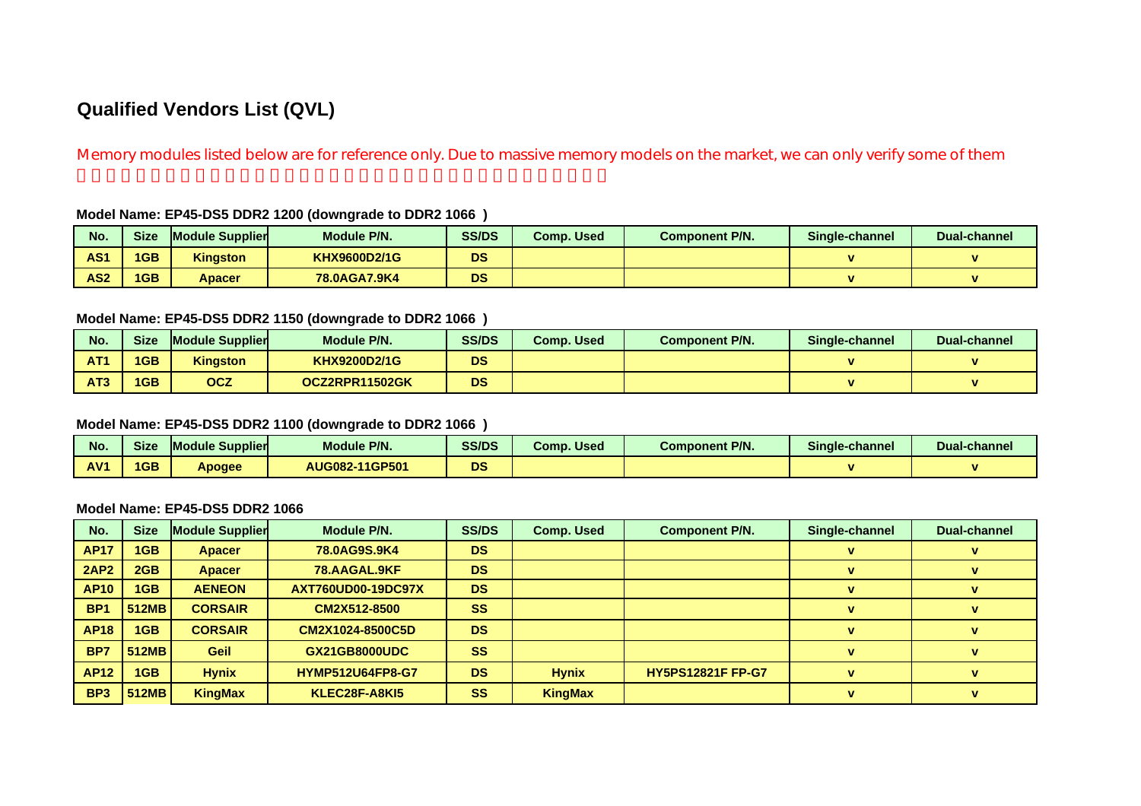# **Qualified Vendors List (QVL)**

Memory modules listed below are for reference only. Due to massive memory models on the market, we can only verify some of them

#### **Model Name: EP45-DS5 DDR2 1200 (downgrade to DDR2 1066 )**

| No.             | <b>Size</b> | <b>Module Supplier</b> | <b>Module P/N.</b> | <b>SS/DS</b> | Comp. Used | <b>Component P/N.</b> | Single-channel | <b>Dual-channel</b> |
|-----------------|-------------|------------------------|--------------------|--------------|------------|-----------------------|----------------|---------------------|
| AS <sub>1</sub> | 1GB         | <b>Kingston</b>        | KHX9600D2/1G       | DS           |            |                       |                |                     |
| AS <sub>2</sub> | 1GB         | Apacer                 | 78.0AGA7.9K4       | DS           |            |                       |                |                     |

#### **Model Name: EP45-DS5 DDR2 1150 (downgrade to DDR2 1066 )**

| No.             | Size | <b>Module Supplier</b> | Module P/N.         | <b>SS/DS</b> | <b>Comp. Used</b> | <b>Component P/N.</b> | Single-channel | Dual-channel |
|-----------------|------|------------------------|---------------------|--------------|-------------------|-----------------------|----------------|--------------|
| AT <sub>1</sub> | 1GB  | <b>Kingston</b>        | <b>KHX9200D2/1G</b> | <b>DS</b>    |                   |                       |                |              |
| AT <sub>3</sub> | 1GB  | <b>OCZ</b>             | OCZ2RPR11502GK      | <b>DS</b>    |                   |                       |                |              |

#### **Model Name: EP45-DS5 DDR2 1100 (downgrade to DDR2 1066 )**

| No. | <b>Size</b> | <b>Module Supplier</b> | Module P/N.    | <b>SS/DS</b> | Comp. Used | <b>Component P/N.</b> | Single-channel | Dual-channel   |
|-----|-------------|------------------------|----------------|--------------|------------|-----------------------|----------------|----------------|
| AV1 | 1GB         | Apogee                 | AUG082-11GP501 | DS           |            |                       |                | $\blacksquare$ |

#### **Model Name: EP45-DS5 DDR2 1066**

| No.             | <b>Size</b>  | <b>Module Supplier</b> | Module P/N.               | <b>SS/DS</b> | <b>Comp. Used</b> | <b>Component P/N.</b>    | Single-channel | <b>Dual-channel</b> |
|-----------------|--------------|------------------------|---------------------------|--------------|-------------------|--------------------------|----------------|---------------------|
| <b>AP17</b>     | 1GB          | <b>Apacer</b>          | 78.0AG9S.9K4              | <b>DS</b>    |                   |                          |                |                     |
| <b>2AP2</b>     | 2GB          | <b>Apacer</b>          | 78.AAGAL.9KF              | <b>DS</b>    |                   |                          |                |                     |
| <b>AP10</b>     | 1GB          | <b>AENEON</b>          | <b>AXT760UD00-19DC97X</b> | <b>DS</b>    |                   |                          |                |                     |
| BP <sub>1</sub> | 512MB        | <b>CORSAIR</b>         | CM2X512-8500              | <b>SS</b>    |                   |                          |                |                     |
| <b>AP18</b>     | 1GB          | <b>CORSAIR</b>         | CM2X1024-8500C5D          | <b>DS</b>    |                   |                          | $\mathbf{v}$   |                     |
| BP7             | <b>512MB</b> | <b>Geil</b>            | <b>GX21GB8000UDC</b>      | <b>SS</b>    |                   |                          | v              | v                   |
| <b>AP12</b>     | 1GB          | <b>Hynix</b>           | <b>HYMP512U64FP8-G7</b>   | <b>DS</b>    | <b>Hynix</b>      | <b>HY5PS12821F FP-G7</b> | $\mathbf{v}$   | v                   |
| BP <sub>3</sub> | 512MB        | <b>KingMax</b>         | KLEC28F-A8KI5             | <b>SS</b>    | <b>KingMax</b>    |                          | v              |                     |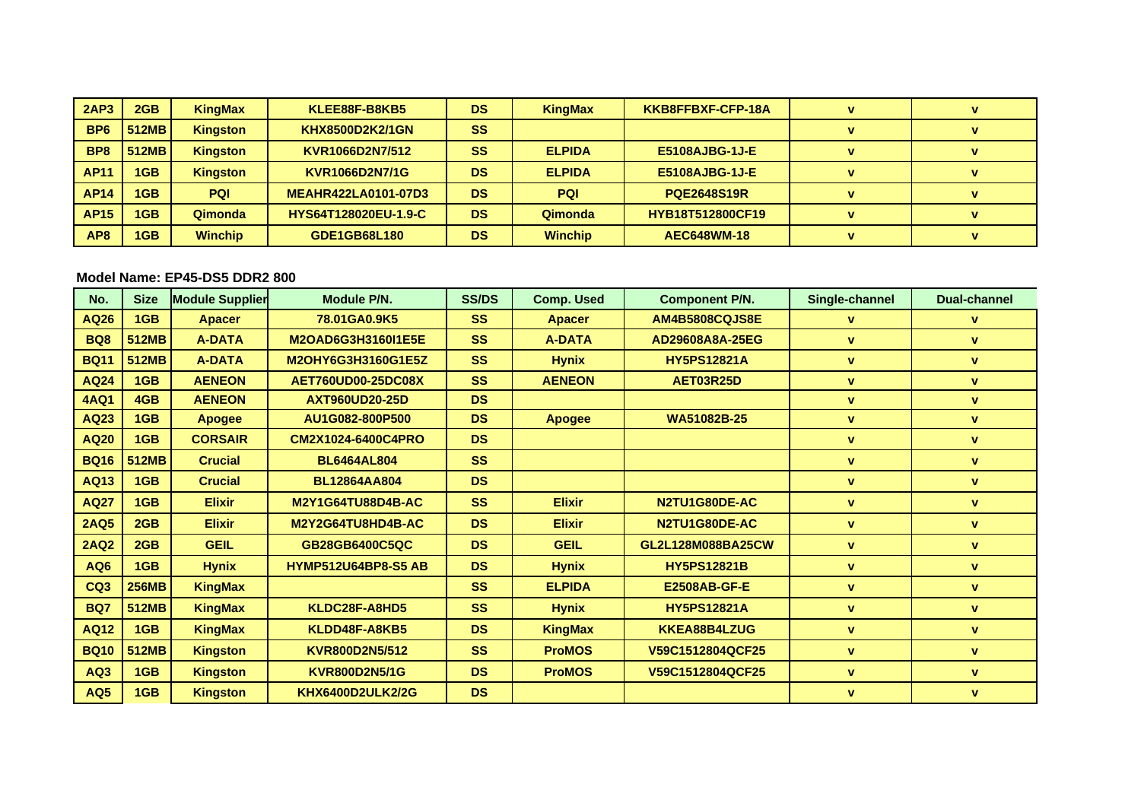| 2AP3            | 2GB   | <b>KingMax</b>  | KLEE88F-B8KB5               | <b>DS</b> | <b>KingMax</b> | KKB8FFBXF-CFP-18A       | $\mathbf{v}$ | v |
|-----------------|-------|-----------------|-----------------------------|-----------|----------------|-------------------------|--------------|---|
| BP <sub>6</sub> | 512MB | <b>Kingston</b> | <b>KHX8500D2K2/1GN</b>      | <b>SS</b> |                |                         |              |   |
| BP <sub>8</sub> | 512MB | <b>Kingston</b> | KVR1066D2N7/512             | SS        | <b>ELPIDA</b>  | <b>E5108AJBG-1J-E</b>   |              |   |
| <b>AP11</b>     | 1GB   | <b>Kingston</b> | KVR1066D2N7/1G              | <b>DS</b> | <b>ELPIDA</b>  | <b>E5108AJBG-1J-E</b>   | $\mathbf{v}$ |   |
| <b>AP14</b>     | 1GB   | <b>PQI</b>      | <b>MEAHR422LA0101-07D3</b>  | <b>DS</b> | <b>PQI</b>     | <b>PQE2648S19R</b>      |              |   |
| <b>AP15</b>     | 1GB   | Qimonda         | <b>HYS64T128020EU-1.9-C</b> | <b>DS</b> | Qimonda        | <b>HYB18T512800CF19</b> |              |   |
| AP <sub>8</sub> | 1GB   | <b>Winchip</b>  | GDE1GB68L180                | <b>DS</b> | <b>Winchip</b> | <b>AEC648WM-18</b>      | $\mathbf{v}$ |   |

## **Model Name: EP45-DS5 DDR2 800**

| No.             | <b>Size</b>  | <b>Module Supplier</b> | <b>Module P/N.</b>         | <b>SS/DS</b> | <b>Comp. Used</b> | <b>Component P/N.</b> | Single-channel | <b>Dual-channel</b> |
|-----------------|--------------|------------------------|----------------------------|--------------|-------------------|-----------------------|----------------|---------------------|
| AQ26            | 1GB          | <b>Apacer</b>          | 78.01GA0.9K5               | <b>SS</b>    | <b>Apacer</b>     | <b>AM4B5808CQJS8E</b> | v              | $\mathbf{v}$        |
| <b>BQ8</b>      | <b>512MB</b> | <b>A-DATA</b>          | M2OAD6G3H3160I1E5E         | <b>SS</b>    | <b>A-DATA</b>     | AD29608A8A-25EG       | v              | $\mathbf{v}$        |
| <b>BQ11</b>     | <b>512MB</b> | <b>A-DATA</b>          | M2OHY6G3H3160G1E5Z         | <b>SS</b>    | <b>Hynix</b>      | <b>HY5PS12821A</b>    | v              | $\mathbf{v}$        |
| <b>AQ24</b>     | 1GB          | <b>AENEON</b>          | <b>AET760UD00-25DC08X</b>  | <b>SS</b>    | <b>AENEON</b>     | AET03R25D             | v              | $\mathbf{v}$        |
| <b>4AQ1</b>     | 4GB          | <b>AENEON</b>          | <b>AXT960UD20-25D</b>      | <b>DS</b>    |                   |                       | v              | $\mathbf{v}$        |
| AQ23            | 1GB          | <b>Apogee</b>          | AU1G082-800P500            | <b>DS</b>    | <b>Apogee</b>     | WA51082B-25           | v              | $\mathbf{v}$        |
| <b>AQ20</b>     | 1GB          | <b>CORSAIR</b>         | CM2X1024-6400C4PRO         | <b>DS</b>    |                   |                       | v              | $\mathbf{v}$        |
| <b>BQ16</b>     | <b>512MB</b> | <b>Crucial</b>         | <b>BL6464AL804</b>         | <b>SS</b>    |                   |                       | v              | $\mathbf{v}$        |
| AQ13            | 1GB          | <b>Crucial</b>         | <b>BL12864AA804</b>        | <b>DS</b>    |                   |                       | v              | v                   |
| <b>AQ27</b>     | 1GB          | <b>Elixir</b>          | <b>M2Y1G64TU88D4B-AC</b>   | <b>SS</b>    | <b>Elixir</b>     | N2TU1G80DE-AC         | v              | v                   |
| <b>2AQ5</b>     | 2GB          | <b>Elixir</b>          | M2Y2G64TU8HD4B-AC          | <b>DS</b>    | <b>Elixir</b>     | N2TU1G80DE-AC         | $\mathbf{v}$   | $\mathbf{v}$        |
| <b>2AQ2</b>     | 2GB          | <b>GEIL</b>            | GB28GB6400C5QC             | <b>DS</b>    | <b>GEIL</b>       | GL2L128M088BA25CW     | V              | $\mathbf{v}$        |
| AQ6             | 1GB          | <b>Hynix</b>           | <b>HYMP512U64BP8-S5 AB</b> | <b>DS</b>    | <b>Hynix</b>      | <b>HY5PS12821B</b>    | v              | $\mathbf{v}$        |
| CQ <sub>3</sub> | <b>256MB</b> | <b>KingMax</b>         |                            | <b>SS</b>    | <b>ELPIDA</b>     | <b>E2508AB-GF-E</b>   | $\mathbf{v}$   | $\mathbf{v}$        |
| <b>BQ7</b>      | 512MB        | <b>KingMax</b>         | KLDC28F-A8HD5              | <b>SS</b>    | <b>Hynix</b>      | <b>HY5PS12821A</b>    | $\mathbf v$    | $\mathbf{v}$        |
| <b>AQ12</b>     | 1GB          | <b>KingMax</b>         | KLDD48F-A8KB5              | <b>DS</b>    | <b>KingMax</b>    | KKEA88B4LZUG          | v              | $\mathbf{v}$        |
| <b>BQ10</b>     | 512MB        | <b>Kingston</b>        | KVR800D2N5/512             | <b>SS</b>    | <b>ProMOS</b>     | V59C1512804QCF25      | v              | $\mathbf{v}$        |
| AQ3             | 1GB          | <b>Kingston</b>        | <b>KVR800D2N5/1G</b>       | <b>DS</b>    | <b>ProMOS</b>     | V59C1512804QCF25      | v              | $\mathbf{v}$        |
| <b>AQ5</b>      | 1GB          | <b>Kingston</b>        | <b>KHX6400D2ULK2/2G</b>    | <b>DS</b>    |                   |                       | v              | $\mathbf{v}$        |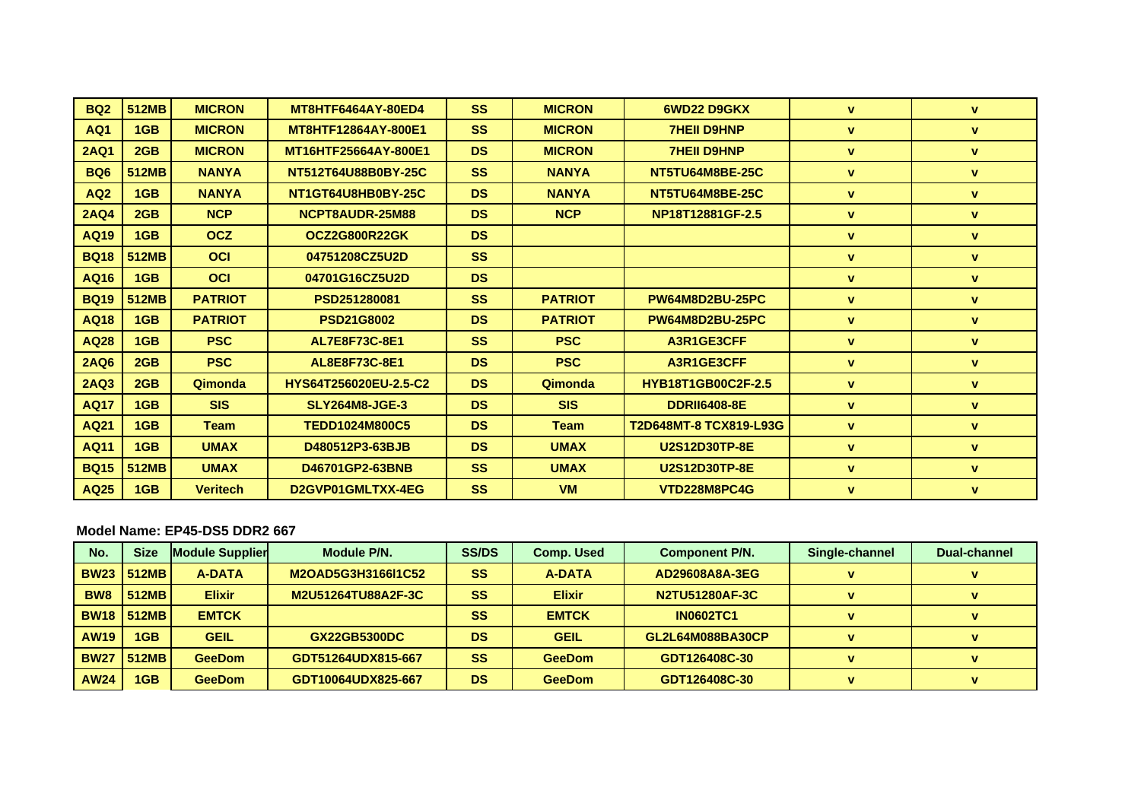| <b>BQ2</b>      | <b>512MB</b> | <b>MICRON</b>   | <b>MT8HTF6464AY-80ED4</b>    | <b>SS</b> | <b>MICRON</b>  | 6WD22 D9GKX               | v                  | V            |
|-----------------|--------------|-----------------|------------------------------|-----------|----------------|---------------------------|--------------------|--------------|
| AQ1             | 1GB          | <b>MICRON</b>   | MT8HTF12864AY-800E1          | <b>SS</b> | <b>MICRON</b>  | <b>7HEII D9HNP</b>        | <b>V</b>           | <b>v</b>     |
| <b>2AQ1</b>     | 2GB          | <b>MICRON</b>   | MT16HTF25664AY-800E1         | <b>DS</b> | <b>MICRON</b>  | <b>7HEII D9HNP</b>        | $\mathbf{v}$       | $\mathbf{v}$ |
| BQ <sub>6</sub> | 512MB        | <b>NANYA</b>    | NT512T64U88B0BY-25C          | <b>SS</b> | <b>NANYA</b>   | NT5TU64M8BE-25C           | <b>V</b>           | $\mathbf{v}$ |
| AQ <sub>2</sub> | 1GB          | <b>NANYA</b>    | NT1GT64U8HB0BY-25C           | <b>DS</b> | <b>NANYA</b>   | NT5TU64M8BE-25C           | v                  | <b>v</b>     |
| <b>2AQ4</b>     | 2GB          | <b>NCP</b>      | NCPT8AUDR-25M88              | <b>DS</b> | <b>NCP</b>     | NP18T12881GF-2.5          | <b>V</b>           | $\mathbf{v}$ |
| AQ19            | 1GB          | <b>OCZ</b>      | <b>OCZ2G800R22GK</b>         | <b>DS</b> |                |                           | <b>V</b>           | <b>v</b>     |
| <b>BQ18</b>     | <b>512MB</b> | OCI             | 04751208CZ5U2D               | <b>SS</b> |                |                           | v                  | <b>v</b>     |
| AQ16            | 1GB          | OCI             | 04701G16CZ5U2D               | <b>DS</b> |                |                           | v                  | v            |
| <b>BQ19</b>     | <b>512MB</b> | <b>PATRIOT</b>  | PSD251280081                 | <b>SS</b> | <b>PATRIOT</b> | <b>PW64M8D2BU-25PC</b>    | v                  | <b>v</b>     |
| <b>AQ18</b>     | 1GB          | <b>PATRIOT</b>  | <b>PSD21G8002</b>            | <b>DS</b> | <b>PATRIOT</b> | <b>PW64M8D2BU-25PC</b>    | <b>V</b>           | v            |
| <b>AQ28</b>     | 1GB          | <b>PSC</b>      | AL7E8F73C-8E1                | <b>SS</b> | <b>PSC</b>     | A3R1GE3CFF                | <b>V</b>           | v.           |
| <b>2AQ6</b>     | 2GB          | <b>PSC</b>      | AL8E8F73C-8E1                | <b>DS</b> | <b>PSC</b>     | A3R1GE3CFF                | <b>V</b>           | <b>V</b>     |
| <b>2AQ3</b>     | 2GB          | Qimonda         | <b>HYS64T256020EU-2.5-C2</b> | <b>DS</b> | Qimonda        | <b>HYB18T1GB00C2F-2.5</b> | <b>V</b>           | <b>V</b>     |
| <b>AQ17</b>     | 1GB          | <b>SIS</b>      | <b>SLY264M8-JGE-3</b>        | <b>DS</b> | <b>SIS</b>     | <b>DDRII6408-8E</b>       | <b>V</b>           | <b>V</b>     |
| <b>AQ21</b>     | 1GB          | <b>Team</b>     | <b>TEDD1024M800C5</b>        | <b>DS</b> | <b>Team</b>    | T2D648MT-8 TCX819-L93G    | v                  | $\mathbf{v}$ |
| <b>AQ11</b>     | 1GB          | <b>UMAX</b>     | D480512P3-63BJB              | <b>DS</b> | <b>UMAX</b>    | <b>U2S12D30TP-8E</b>      | $\pmb{\mathsf{v}}$ | <b>v</b>     |
| <b>BQ15</b>     | <b>512MB</b> | <b>UMAX</b>     | D46701GP2-63BNB              | <b>SS</b> | <b>UMAX</b>    | <b>U2S12D30TP-8E</b>      | <b>V</b>           | <b>v</b>     |
| AQ25            | 1GB          | <b>Veritech</b> | D2GVP01GMLTXX-4EG            | <b>SS</b> | <b>VM</b>      | VTD228M8PC4G              | v                  | <b>v</b>     |

### **Model Name: EP45-DS5 DDR2 667**

| No.             | <b>Size</b>           | <b>Module Supplier</b> | Module P/N.         | <b>SS/DS</b> | <b>Comp. Used</b> | <b>Component P/N.</b> | Single-channel | Dual-channel |
|-----------------|-----------------------|------------------------|---------------------|--------------|-------------------|-----------------------|----------------|--------------|
|                 | <b>BW23   512MB  </b> | A-DATA                 | M2OAD5G3H3166I1C52  | <b>SS</b>    | A-DATA            | AD29608A8A-3EG        |                |              |
| BW <sub>8</sub> | 512MB                 | <b>Elixir</b>          | M2U51264TU88A2F-3C  | <b>SS</b>    | <b>Elixir</b>     | N2TU51280AF-3C        | v              |              |
|                 | <b>BW18   512MB  </b> | <b>EMTCK</b>           |                     | <b>SS</b>    | <b>EMTCK</b>      | <b>IN0602TC1</b>      | $\mathbf{v}$   |              |
| <b>AW19</b>     | 1GB                   | <b>GEIL</b>            | <b>GX22GB5300DC</b> | <b>DS</b>    | <b>GEIL</b>       | GL2L64M088BA30CP      |                |              |
| <b>BW27</b>     | 512MB                 | <b>GeeDom</b>          | GDT51264UDX815-667  | <b>SS</b>    | <b>GeeDom</b>     | GDT126408C-30         | v              |              |
| <b>AW24</b>     | 1GB                   | <b>GeeDom</b>          | GDT10064UDX825-667  | <b>DS</b>    | <b>GeeDom</b>     | GDT126408C-30         | $\mathbf{v}$   |              |